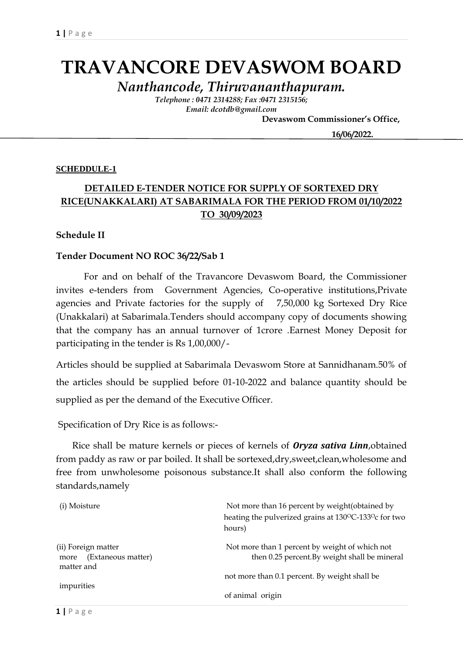# **TRAVANCORE DEVASWOM BOARD**

*Nanthancode, Thiruvananthapuram.*

*Telephone : 0471 2314288; Fax :0471 2315156; Email: dcotdb@gmail.com*

 **Devaswom Commissioner's Office,**

 **16/06/2022.**

#### **SCHEDDULE-1**

## **DETAILED E-TENDER NOTICE FOR SUPPLY OF SORTEXED DRY RICE(UNAKKALARI) AT SABARIMALA FOR THE PERIOD FROM 01/10/2022 TO 30/09/2023**

#### **Schedule II**

#### **Tender Document NO ROC 36/22/Sab 1**

For and on behalf of the Travancore Devaswom Board, the Commissioner invites e-tenders from Government Agencies, Co-operative institutions,Private agencies and Private factories for the supply of 7,50,000 kg Sortexed Dry Rice (Unakkalari) at Sabarimala.Tenders should accompany copy of documents showing that the company has an annual turnover of 1crore .Earnest Money Deposit for participating in the tender is Rs 1,00,000/-

Articles should be supplied at Sabarimala Devaswom Store at Sannidhanam.50% of the articles should be supplied before 01-10-2022 and balance quantity should be supplied as per the demand of the Executive Officer.

Specification of Dry Rice is as follows:-

 Rice shall be mature kernels or pieces of kernels of *Oryza sativa Linn*,obtained from paddy as raw or par boiled. It shall be sortexed,dry,sweet,clean,wholesome and free from unwholesome poisonous substance.It shall also conform the following standards,namely

| (i) Moisture                                                    | Not more than 16 percent by weight (obtained by<br>heating the pulverized grains at 130°C-133°c for two<br>hours) |
|-----------------------------------------------------------------|-------------------------------------------------------------------------------------------------------------------|
| (ii) Foreign matter<br>(Extaneous matter)<br>more<br>matter and | Not more than 1 percent by weight of which not<br>then 0.25 percent. By weight shall be mineral                   |
|                                                                 | not more than 0.1 percent. By weight shall be                                                                     |
| impurities                                                      | of animal origin                                                                                                  |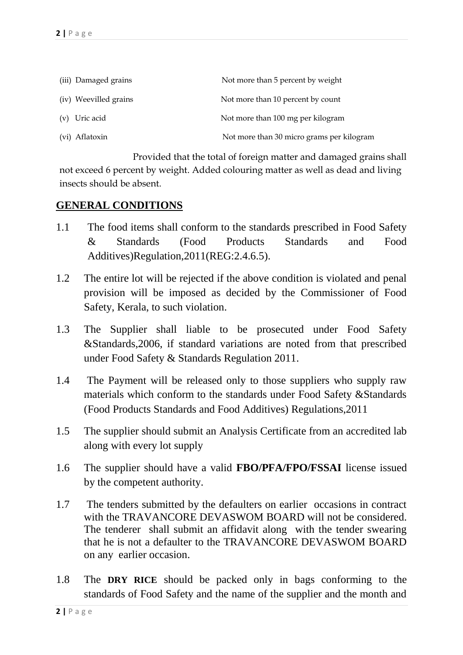| (iii) Damaged grains  | Not more than 5 percent by weight         |
|-----------------------|-------------------------------------------|
| (iv) Weevilled grains | Not more than 10 percent by count         |
| (v) Uric acid         | Not more than 100 mg per kilogram         |
| (vi) Aflatoxin        | Not more than 30 micro grams per kilogram |

 Provided that the total of foreign matter and damaged grains shall not exceed 6 percent by weight. Added colouring matter as well as dead and living insects should be absent.

### **GENERAL CONDITIONS**

- 1.1 The food items shall conform to the standards prescribed in Food Safety & Standards (Food Products Standards and Food Additives)Regulation,2011(REG:2.4.6.5).
- 1.2 The entire lot will be rejected if the above condition is violated and penal provision will be imposed as decided by the Commissioner of Food Safety, Kerala, to such violation.
- 1.3 The Supplier shall liable to be prosecuted under Food Safety &Standards,2006, if standard variations are noted from that prescribed under Food Safety & Standards Regulation 2011.
- 1.4 The Payment will be released only to those suppliers who supply raw materials which conform to the standards under Food Safety &Standards (Food Products Standards and Food Additives) Regulations,2011
- 1.5 The supplier should submit an Analysis Certificate from an accredited lab along with every lot supply
- 1.6 The supplier should have a valid **FBO/PFA/FPO/FSSAI** license issued by the competent authority.
- 1.7 The tenders submitted by the defaulters on earlier occasions in contract with the TRAVANCORE DEVASWOM BOARD will not be considered. The tenderer shall submit an affidavit along with the tender swearing that he is not a defaulter to the TRAVANCORE DEVASWOM BOARD on any earlier occasion.
- 1.8 The **DRY RICE** should be packed only in bags conforming to the standards of Food Safety and the name of the supplier and the month and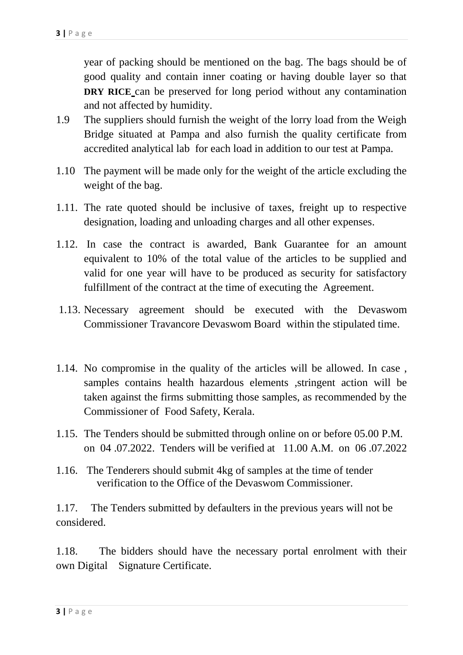year of packing should be mentioned on the bag. The bags should be of good quality and contain inner coating or having double layer so that **DRY RICE** can be preserved for long period without any contamination and not affected by humidity.

- 1.9 The suppliers should furnish the weight of the lorry load from the Weigh Bridge situated at Pampa and also furnish the quality certificate from accredited analytical lab for each load in addition to our test at Pampa.
- 1.10 The payment will be made only for the weight of the article excluding the weight of the bag.
- 1.11. The rate quoted should be inclusive of taxes, freight up to respective designation, loading and unloading charges and all other expenses.
- 1.12. In case the contract is awarded, Bank Guarantee for an amount equivalent to 10% of the total value of the articles to be supplied and valid for one year will have to be produced as security for satisfactory fulfillment of the contract at the time of executing the Agreement.
- 1.13. Necessary agreement should be executed with the Devaswom Commissioner Travancore Devaswom Board within the stipulated time.
- 1.14. No compromise in the quality of the articles will be allowed. In case , samples contains health hazardous elements ,stringent action will be taken against the firms submitting those samples, as recommended by the Commissioner of Food Safety, Kerala.
- 1.15. The Tenders should be submitted through online on or before 05.00 P.M. on 04 .07.2022. Tenders will be verified at 11.00 A.M. on 06 .07.2022
- 1.16. The Tenderers should submit 4kg of samples at the time of tender verification to the Office of the Devaswom Commissioner.

1.17. The Tenders submitted by defaulters in the previous years will not be considered.

1.18. The bidders should have the necessary portal enrolment with their own Digital Signature Certificate.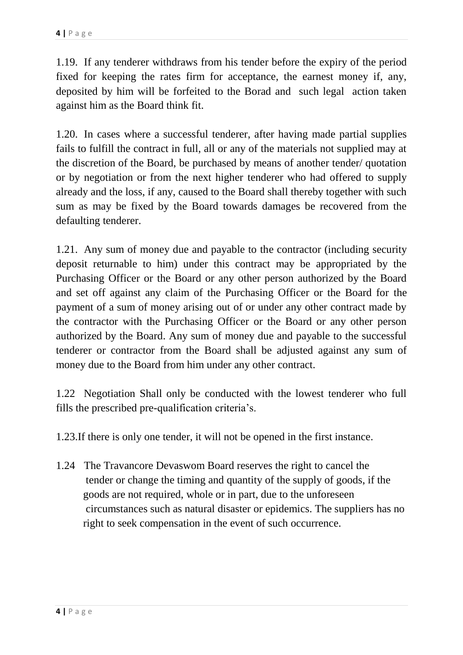1.19. If any tenderer withdraws from his tender before the expiry of the period fixed for keeping the rates firm for acceptance, the earnest money if, any, deposited by him will be forfeited to the Borad and such legal action taken against him as the Board think fit.

1.20. In cases where a successful tenderer, after having made partial supplies fails to fulfill the contract in full, all or any of the materials not supplied may at the discretion of the Board, be purchased by means of another tender/ quotation or by negotiation or from the next higher tenderer who had offered to supply already and the loss, if any, caused to the Board shall thereby together with such sum as may be fixed by the Board towards damages be recovered from the defaulting tenderer.

1.21. Any sum of money due and payable to the contractor (including security deposit returnable to him) under this contract may be appropriated by the Purchasing Officer or the Board or any other person authorized by the Board and set off against any claim of the Purchasing Officer or the Board for the payment of a sum of money arising out of or under any other contract made by the contractor with the Purchasing Officer or the Board or any other person authorized by the Board. Any sum of money due and payable to the successful tenderer or contractor from the Board shall be adjusted against any sum of money due to the Board from him under any other contract.

1.22 Negotiation Shall only be conducted with the lowest tenderer who full fills the prescribed pre-qualification criteria's.

1.23.If there is only one tender, it will not be opened in the first instance.

1.24 The Travancore Devaswom Board reserves the right to cancel the tender or change the timing and quantity of the supply of goods, if the goods are not required, whole or in part, due to the unforeseen circumstances such as natural disaster or epidemics. The suppliers has no right to seek compensation in the event of such occurrence.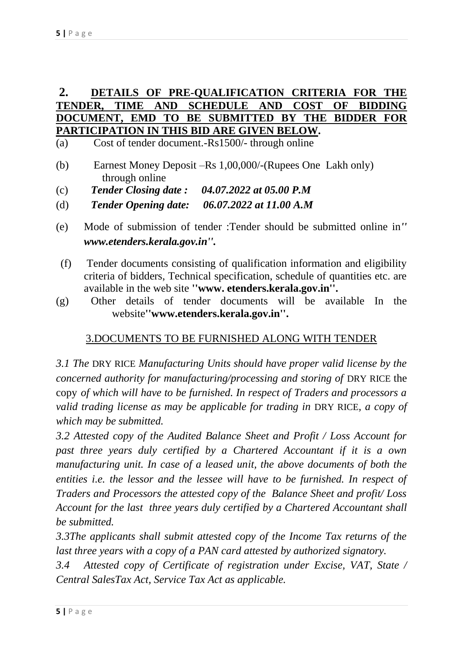## **2. DETAILS OF PRE-QUALIFICATION CRITERIA FOR THE TENDER, TIME AND SCHEDULE AND COST OF BIDDING DOCUMENT, EMD TO BE SUBMITTED BY THE BIDDER FOR PARTICIPATION IN THIS BID ARE GIVEN BELOW.**

- (a) Cost of tender document.-Rs1500/- through online
- (b) Earnest Money Deposit –Rs 1,00,000/-(Rupees One Lakh only) through online
- (c) *Tender Closing date : 04.07.2022 at 05.00 P.M*
- (d) *Tender Opening date: 06.07.2022 at 11.00 A.M*
- (e) Mode of submission of tender :Tender should be submitted online in*'' www.etenders.kerala.gov.in''.*
- (f) Tender documents consisting of qualification information and eligibility criteria of bidders, Technical specification, schedule of quantities etc. are available in the web site **''www. etenders.kerala.gov.in''.**
- (g) Other details of tender documents will be available In the website**''www.etenders.kerala.gov.in''.**

## 3.DOCUMENTS TO BE FURNISHED ALONG WITH TENDER

*3.1 The* DRY RICE *Manufacturing Units should have proper valid license by the concerned authority for manufacturing/processing and storing of DRY RICE the* copy *of which will have to be furnished. In respect of Traders and processors a valid trading license as may be applicable for trading in* DRY RICE*, a copy of which may be submitted.*

*3.2 Attested copy of the Audited Balance Sheet and Profit / Loss Account for past three years duly certified by a Chartered Accountant if it is a own manufacturing unit. In case of a leased unit, the above documents of both the* entities *i.e. the lessor and the lessee will have to be furnished. In respect of Traders and Processors the attested copy of the Balance Sheet and profit/ Loss Account for the last three years duly certified by a Chartered Accountant shall be submitted.*

*3.3The applicants shall submit attested copy of the Income Tax returns of the last three years with a copy of a PAN card attested by authorized signatory.*

*3.4 Attested copy of Certificate of registration under Excise, VAT, State / Central SalesTax Act, Service Tax Act as applicable.*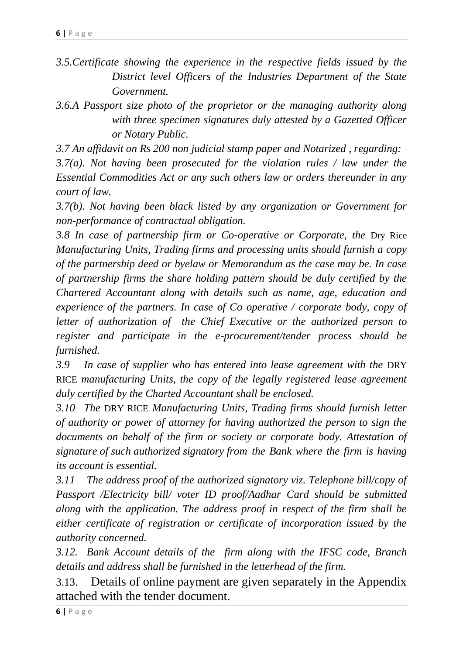*3.5.Certificate showing the experience in the respective fields issued by the District level Officers of the Industries Department of the State Government.* 

*3.6.A Passport size photo of the proprietor or the managing authority along with three specimen signatures duly attested by a Gazetted Officer or Notary Public.*

*3.7 An affidavit on Rs 200 non judicial stamp paper and Notarized , regarding:*

*3.7(a). Not having been prosecuted for the violation rules / law under the Essential Commodities Act or any such others law or orders thereunder in any court of law.*

*3.7(b). Not having been black listed by any organization or Government for non-performance of contractual obligation.*

*3.8 In case of partnership firm or Co-operative or Corporate, the* Dry Rice *Manufacturing Units, Trading firms and processing units should furnish a copy of the partnership deed or byelaw or Memorandum as the case may be. In case of partnership firms the share holding pattern should be duly certified by the Chartered Accountant along with details such as name, age, education and experience of the partners. In case of Co operative / corporate body, copy of letter of authorization of the Chief Executive or the authorized person to register and participate in the e-procurement/tender process should be furnished.*

3.9 In case of supplier who has entered into lease agreement with the DRY RICE *manufacturing Units, the copy of the legally registered lease agreement duly certified by the Charted Accountant shall be enclosed.*

*3.10 The* DRY RICE *Manufacturing Units, Trading firms should furnish letter of authority or power of attorney for having authorized the person to sign the documents on behalf of the firm or society or corporate body. Attestation of signature of such authorized signatory from the Bank where the firm is having its account is essential.*

*3.11 The address proof of the authorized signatory viz. Telephone bill/copy of Passport /Electricity bill/ voter ID proof/Aadhar Card should be submitted along with the application. The address proof in respect of the firm shall be either certificate of registration or certificate of incorporation issued by the authority concerned.*

*3.12. Bank Account details of the firm along with the IFSC code, Branch details and address shall be furnished in the letterhead of the firm.*

3.13. Details of online payment are given separately in the Appendix attached with the tender document.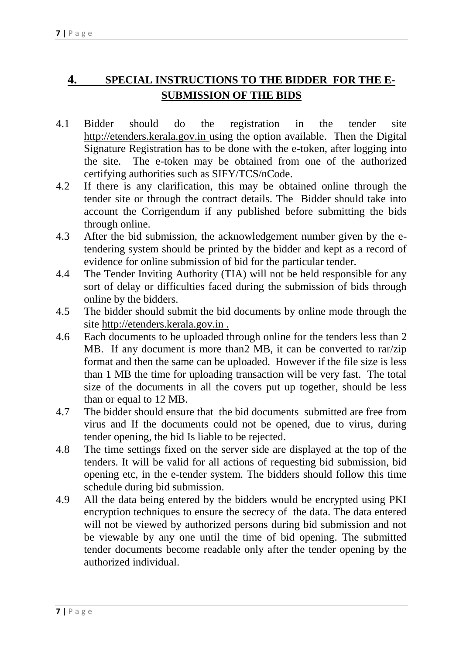## **4. SPECIAL INSTRUCTIONS TO THE BIDDER FOR THE E-SUBMISSION OF THE BIDS**

- 4.1 Bidder should do the registration in the tender site http://etenders.kerala.gov.in using the option available. Then the Digital Signature Registration has to be done with the e-token, after logging into the site. The e-token may be obtained from one of the authorized certifying authorities such as SIFY/TCS/nCode.
- 4.2 If there is any clarification, this may be obtained online through the tender site or through the contract details. The Bidder should take into account the Corrigendum if any published before submitting the bids through online.
- 4.3 After the bid submission, the acknowledgement number given by the etendering system should be printed by the bidder and kept as a record of evidence for online submission of bid for the particular tender.
- 4.4 The Tender Inviting Authority (TIA) will not be held responsible for any sort of delay or difficulties faced during the submission of bids through online by the bidders.
- 4.5 The bidder should submit the bid documents by online mode through the site http://etenders.kerala.gov.in .
- 4.6 Each documents to be uploaded through online for the tenders less than 2 MB. If any document is more than2 MB, it can be converted to rar/zip format and then the same can be uploaded. However if the file size is less than 1 MB the time for uploading transaction will be very fast. The total size of the documents in all the covers put up together, should be less than or equal to 12 MB.
- 4.7 The bidder should ensure that the bid documents submitted are free from virus and If the documents could not be opened, due to virus, during tender opening, the bid Is liable to be rejected.
- 4.8 The time settings fixed on the server side are displayed at the top of the tenders. It will be valid for all actions of requesting bid submission, bid opening etc, in the e-tender system. The bidders should follow this time schedule during bid submission.
- 4.9 All the data being entered by the bidders would be encrypted using PKI encryption techniques to ensure the secrecy of the data. The data entered will not be viewed by authorized persons during bid submission and not be viewable by any one until the time of bid opening. The submitted tender documents become readable only after the tender opening by the authorized individual.